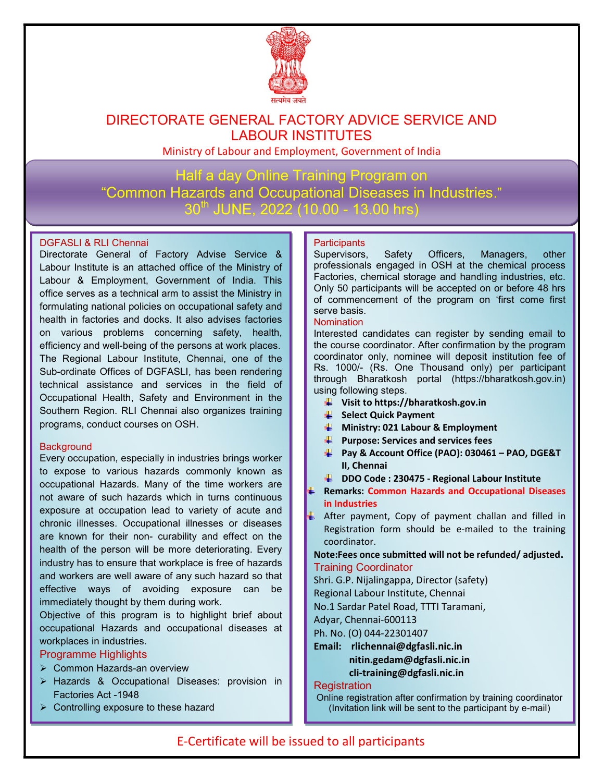

## DIRECTORATE GENERAL FACTORY ADVICE SERVICE AND LABOUR INSTITUTES

Ministry of Labour and Employment, Government of India

Half a day Online Training Program on "Common Hazards and Occupational Diseases in Industries."  $30^{th}$  JUNE, 2022 (10.00 - 13.00 hrs)

#### DGFASLI & RLI Chennai

Directorate General of Factory Advise Service & Labour Institute is an attached office of the Ministry of Labour & Employment, Government of India. This office serves as a technical arm to assist the Ministry in formulating national policies on occupational safety and health in factories and docks. It also advises factories on various problems concerning safety, health, efficiency and well-being of the persons at work places. The Regional Labour Institute, Chennai, one of the Sub-ordinate Offices of DGFASLI, has been rendering technical assistance and services in the field of Occupational Health, Safety and Environment in the Southern Region. RLI Chennai also organizes training programs, conduct courses on OSH.

#### **Background**

Every occupation, especially in industries brings worker to expose to various hazards commonly known as occupational Hazards. Many of the time workers are not aware of such hazards which in turns continuous exposure at occupation lead to variety of acute and chronic illnesses. Occupational illnesses or diseases are known for their non- curability and effect on the health of the person will be more deteriorating. Every industry has to ensure that workplace is free of hazards and workers are well aware of any such hazard so that effective ways of avoiding exposure can be immediately thought by them during work.

Objective of this program is to highlight brief about occupational Hazards and occupational diseases at workplaces in industries.

#### Programme Highlights

- ▶ Common Hazards-an overview
- > Hazards & Occupational Diseases: provision in Factories Act -1948
- $\triangleright$  Controlling exposure to these hazard

#### **Participants**

Supervisors, Safety Officers, Managers, other professionals engaged in OSH at the chemical process Factories, chemical storage and handling industries, etc. Only 50 participants will be accepted on or before 48 hrs of commencement of the program on 'first come first serve basis.

#### **Nomination**

Interested candidates can register by sending email to the course coordinator. After confirmation by the program coordinator only, nominee will deposit institution fee of Rs. 1000/- (Rs. One Thousand only) per participant through Bharatkosh portal (https://bharatkosh.gov.in) using following steps.

- $\downarrow$  Visit to https://bharatkosh.gov.in
- Select Quick Payment
- $\bigcup$  Ministry: 021 Labour & Employment
- $\bigstar$  Purpose: Services and services fees
- Pay & Account Office (PAO): 030461 PAO, DGE&T II, Chennai
- **DDO Code: 230475 Regional Labour Institute**
- Remarks: Common Hazards and Occupational Diseases in Industries
- $\frac{1}{2}$  After payment, Copy of payment challan and filled in Registration form should be e-mailed to the training coordinator.

Note:Fees once submitted will not be refunded/ adjusted. Training Coordinator

Shri. G.P. Nijalingappa, Director (safety)

Regional Labour Institute, Chennai

No.1 Sardar Patel Road, TTTI Taramani,

Adyar, Chennai-600113

Ph. No. (O) 044-22301407

Email: rlichennai@dgfasli.nic.in nitin.gedam@dgfasli.nic.in cli-training@dgfasli.nic.in

#### **Registration**

Online registration after confirmation by training coordinator (Invitation link will be sent to the participant by e-mail)

### E-Certificate will be issued to all participants